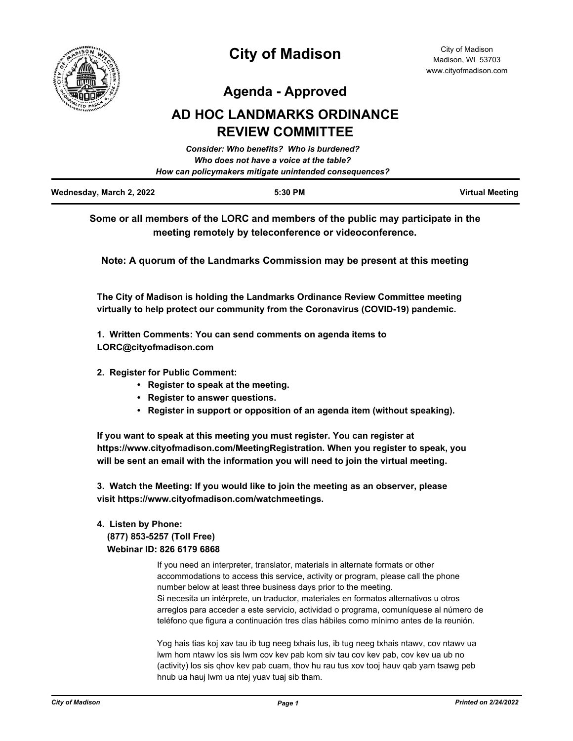

**Agenda - Approved**

# **AD HOC LANDMARKS ORDINANCE REVIEW COMMITTEE**

|                          | Consider: Who benefits? Who is burdened?               |                        |
|--------------------------|--------------------------------------------------------|------------------------|
|                          | Who does not have a voice at the table?                |                        |
|                          | How can policymakers mitigate unintended consequences? |                        |
| Wednesday, March 2, 2022 | 5:30 PM                                                | <b>Virtual Meeting</b> |

**Some or all members of the LORC and members of the public may participate in the meeting remotely by teleconference or videoconference.**

**Note: A quorum of the Landmarks Commission may be present at this meeting**

**The City of Madison is holding the Landmarks Ordinance Review Committee meeting virtually to help protect our community from the Coronavirus (COVID-19) pandemic.**

**1. Written Comments: You can send comments on agenda items to LORC@cityofmadison.com**

- **2. Register for Public Comment:** 
	- **Register to speak at the meeting.**
	- **Register to answer questions.**
	- **Register in support or opposition of an agenda item (without speaking).**

**If you want to speak at this meeting you must register. You can register at https://www.cityofmadison.com/MeetingRegistration. When you register to speak, you will be sent an email with the information you will need to join the virtual meeting.**

**3. Watch the Meeting: If you would like to join the meeting as an observer, please visit https://www.cityofmadison.com/watchmeetings.**

## **4. Listen by Phone:**

 **(877) 853-5257 (Toll Free) Webinar ID: 826 6179 6868**

> If you need an interpreter, translator, materials in alternate formats or other accommodations to access this service, activity or program, please call the phone number below at least three business days prior to the meeting. Si necesita un intérprete, un traductor, materiales en formatos alternativos u otros arreglos para acceder a este servicio, actividad o programa, comuníquese al número de teléfono que figura a continuación tres días hábiles como mínimo antes de la reunión.

Yog hais tias koj xav tau ib tug neeg txhais lus, ib tug neeg txhais ntawv, cov ntawv ua lwm hom ntawv los sis lwm cov kev pab kom siv tau cov kev pab, cov kev ua ub no (activity) los sis qhov kev pab cuam, thov hu rau tus xov tooj hauv qab yam tsawg peb hnub ua hauj lwm ua ntej yuav tuaj sib tham.